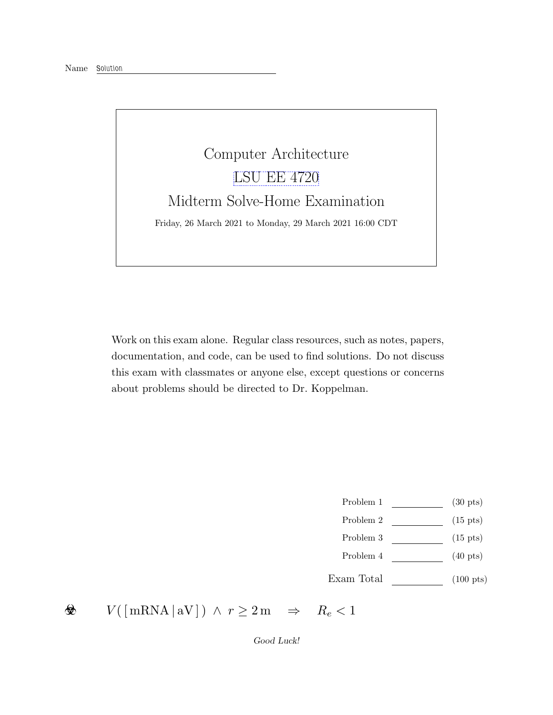Name Solution



Work on this exam alone. Regular class resources, such as notes, papers, documentation, and code, can be used to find solutions. Do not discuss this exam with classmates or anyone else, except questions or concerns about problems should be directed to Dr. Koppelman.

- Problem 1 (30 pts)
- Problem 2 (15 pts)
- Problem 3 (15 pts)
- Problem 4 (40 pts)
- Exam Total (100 pts)

 $V(\lceil \text{mRNA} \rceil \text{aV} \rceil) \land r \geq 2 \text{m} \Rightarrow R_e < 1$ ❀

Good Luck!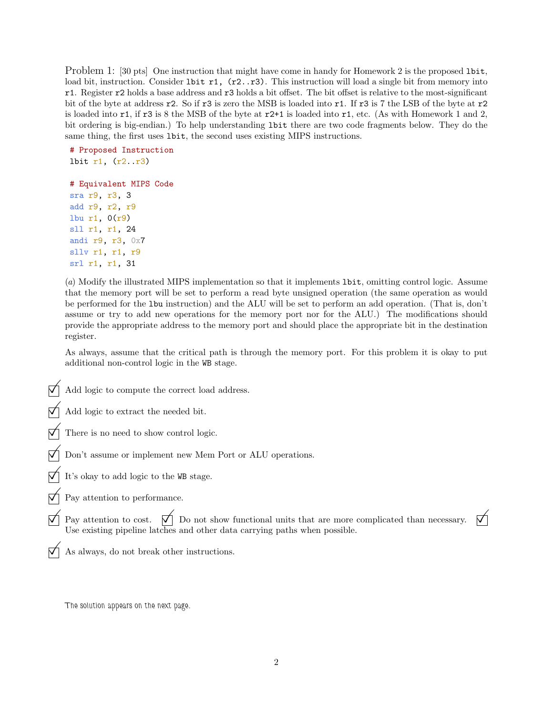Problem 1: [30 pts] One instruction that might have come in handy for Homework 2 is the proposed 1bit, load bit, instruction. Consider 1bit r1, (r2..r3). This instruction will load a single bit from memory into r1. Register r2 holds a base address and r3 holds a bit offset. The bit offset is relative to the most-significant bit of the byte at address r2. So if r3 is zero the MSB is loaded into r1. If r3 is 7 the LSB of the byte at r2 is loaded into r1, if r3 is 8 the MSB of the byte at r2+1 is loaded into r1, etc. (As with Homework 1 and 2, bit ordering is big-endian.) To help understanding lbit there are two code fragments below. They do the same thing, the first uses lbit, the second uses existing MIPS instructions.

```
# Proposed Instruction
lbit r1, (r2..r3)
# Equivalent MIPS Code
sra r9, r3, 3
add r9, r2, r9
lbu r1, 0(r9)
sll r1, r1, 24
andi r9, r3, 0x7
```
sllv r1, r1, r9 srl r1, r1, 31

(a) Modify the illustrated MIPS implementation so that it implements lbit, omitting control logic. Assume that the memory port will be set to perform a read byte unsigned operation (the same operation as would be performed for the lbu instruction) and the ALU will be set to perform an add operation. (That is, don't assume or try to add new operations for the memory port nor for the ALU.) The modifications should provide the appropriate address to the memory port and should place the appropriate bit in the destination register.

As always, assume that the critical path is through the memory port. For this problem it is okay to put additional non-control logic in the WB stage.

Add logic to compute the correct load address.

 $\Box$  Add logic to extract the needed bit.

- There is no need to show control logic.
- Don't assume or implement new Mem Port or ALU operations.
- It's okay to add logic to the WB stage.
- $\nabla$  Pay attention to performance.
- $\nabla$  Pay attention to cost.  $\nabla$  Do not show functional units that are more complicated than necessary.  $\nabla$  Use existing pipeline latches and other data carrying paths when possible.
	- As always, do not break other instructions.

The solution appears on the next page.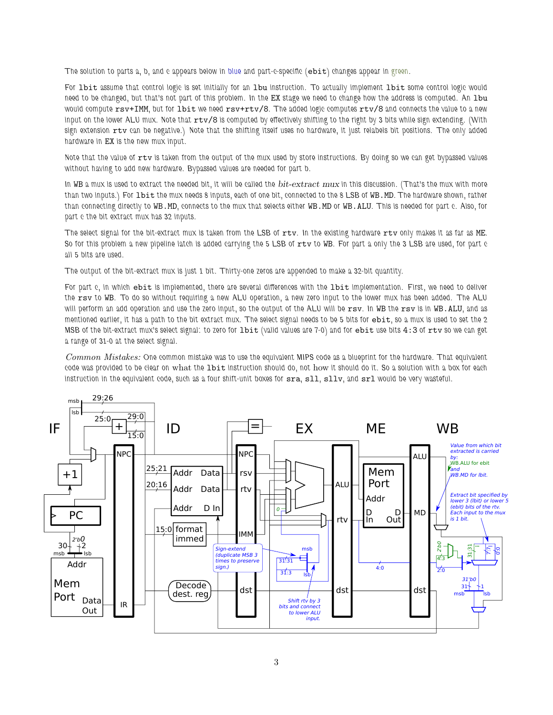The solution to parts a, b, and c appears below in blue and part-c-specific (ebit) changes appear in green.

For 1bit assume that control logic is set initially for an 1bu instruction. To actually implement 1bit some control logic would need to be changed, but that's not part of this problem. In the EX stage we need to change how the address is computed. An lbu would compute rsv+IMM, but for lbit we need rsv+rtv/8. The added logic computes rtv/8 and connects the value to a new input on the lower ALU mux. Note that rtv/8 is computed by effectively shifting to the right by 3 bits while sign extending. (With sign extension rtv can be negative.) Note that the shifting itself uses no hardware, it just relabels bit positions. The only added hardware in EX is the new mux input.

Note that the value of rtv is taken from the output of the mux used by store instructions. By doing so we can get bypassed values without having to add new hardware. Bypassed values are needed for part b.

In WB a mux is used to extract the needed bit, it will be called the  $bit-extract$   $mux$  in this discussion. (That's the mux with more than two inputs.) For lbit the mux needs 8 inputs, each of one bit, connected to the 8 LSB of WB.MD. The hardware shown, rather than connecting directly to WB.MD, connects to the mux that selects either WB.MD or WB.ALU. This is needed for part c. Also, for part c the bit extract mux has 32 inputs.

The select signal for the bit-extract mux is taken from the LSB of rtv. In the existing hardware rtv only makes it as far as ME. So for this problem a new pipeline latch is added carrying the 5 LSB of rtv to WB. For part a only the 3 LSB are used, for part c all 5 bits are used.

The output of the bit-extract mux is just 1 bit. Thirty-one zeros are appended to make a 32-bit quantity.

For part c, in which ebit is implemented, there are several differences with the lbit implementation. First, we need to deliver the rsv to WB. To do so without requiring a new ALU operation, a new zero input to the lower mux has been added. The ALU will perform an add operation and use the zero input, so the output of the ALU will be rsv. In WB the rsv is in WB.ALU, and as mentioned earlier, it has a path to the bit extract mux. The select signal needs to be 5 bits for ebit, so a mux is used to set the 2 MSB of the bit-extract mux's select signal: to zero for lbit (valid values are 7-0) and for ebit use bits 4:3 of rtv so we can get a range of 31-0 at the select signal.

Common Mistakes: One common mistake was to use the equivalent MIPS code as a blueprint for the hardware. That equivalent code was provided to be clear on what the lbit instruction should do, not how it should do it. So a solution with a box for each instruction in the equivalent code, such as a four shift-unit boxes for sra, sll, sllv, and srl would be very wasteful.

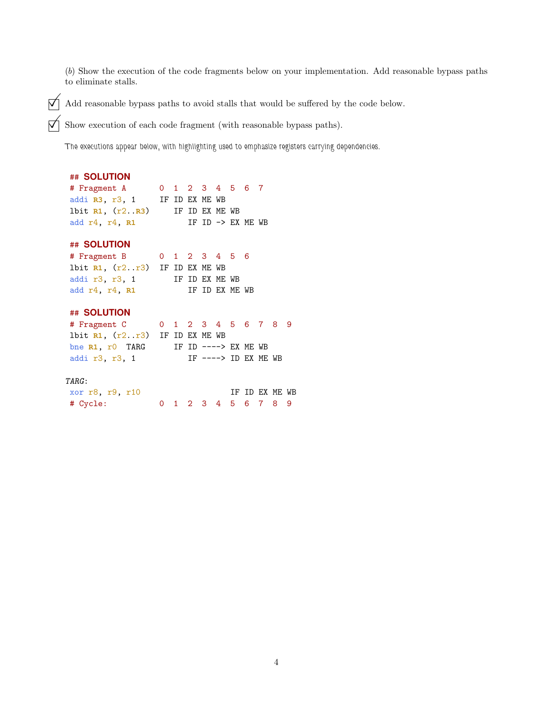(b) Show the execution of the code fragments below on your implementation. Add reasonable bypass paths to eliminate stalls.

 $\overrightarrow{A}$  Add reasonable bypass paths to avoid stalls that would be suffered by the code below.<br> $\overrightarrow{A}$  Show execution of each code fragment (with reasonable bypass paths).

Show execution of each code fragment (with reasonable bypass paths).

The executions appear below, with highlighting used to emphasize registers carrying dependencies.

### ## **SOLUTION**

| # Fragment A           |  | 0 1 2 3 4 5 6 7 |  |                              |  |
|------------------------|--|-----------------|--|------------------------------|--|
| addi R3, r3, 1         |  | IF ID EX ME WB  |  |                              |  |
| 1bit $R1, (r2R3)$      |  | IF ID EX ME WB  |  |                              |  |
| add $r4$ , $r4$ , $r1$ |  |                 |  | IF ID $\rightarrow$ EX ME WB |  |

# ## **SOLUTION**

| # Fragment B                               |  |                |  | 0 1 2 3 4 5 6   |  |
|--------------------------------------------|--|----------------|--|-----------------|--|
| 1bit $R1$ , $(r2 \cdot r3)$ IF ID EX ME WB |  |                |  |                 |  |
| addi r3, r3, 1                             |  | IF ID EX ME WB |  |                 |  |
| add $r4$ , $r4$ , $r1$                     |  |                |  | TF TD FX MF. WB |  |

# ## **SOLUTION**

| # Fragment C 0 1 2 3 4 5 6 7 8 9           |  |                        |  |  |  |
|--------------------------------------------|--|------------------------|--|--|--|
| 1bit $R1$ , $(r2 \cdot r3)$ IF ID EX ME WB |  |                        |  |  |  |
| bne R1, r0 TARG                            |  | IF ID $--->$ FX MF. WB |  |  |  |
| addi r3, r3, 1                             |  | IF $--->$ ID EX ME WB  |  |  |  |

#### TARG:

| xor r8, r9, r10 |  |  |                     |  | IF ID EX ME WB |  |
|-----------------|--|--|---------------------|--|----------------|--|
| # Cycle:        |  |  | 0 1 2 3 4 5 6 7 8 9 |  |                |  |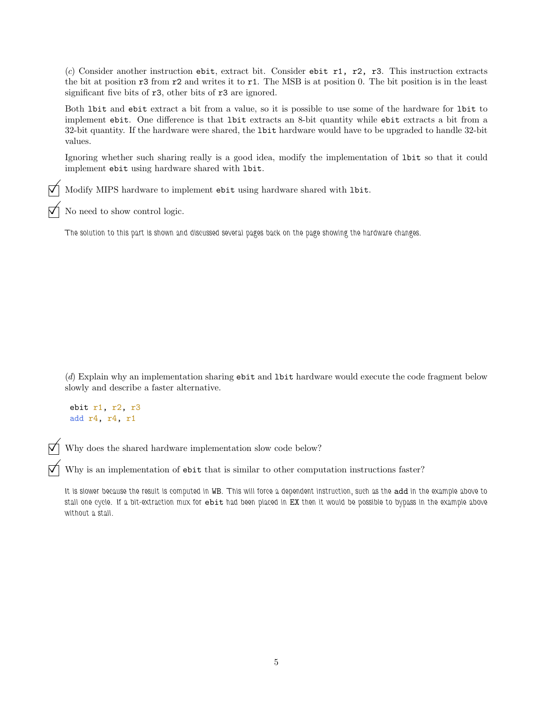(c) Consider another instruction ebit, extract bit. Consider ebit  $r1$ ,  $r2$ ,  $r3$ . This instruction extracts the bit at position r3 from r2 and writes it to r1. The MSB is at position 0. The bit position is in the least significant five bits of r3, other bits of r3 are ignored.

Both lbit and ebit extract a bit from a value, so it is possible to use some of the hardware for lbit to implement ebit. One difference is that lbit extracts an 8-bit quantity while ebit extracts a bit from a 32-bit quantity. If the hardware were shared, the lbit hardware would have to be upgraded to handle 32-bit values.

Ignoring whether such sharing really is a good idea, modify the implementation of lbit so that it could implement ebit using hardware shared with lbit.

Modify MIPS hardware to implement ebit using hardware shared with lbit.

No need to show control logic.

The solution to this part is shown and discussed several pages back on the page showing the hardware changes.

(d) Explain why an implementation sharing ebit and lbit hardware would execute the code fragment below slowly and describe a faster alternative.

```
ebit r1, r2, r3
add r4, r4, r1
```
Why does the shared hardware implementation slow code below?

 $\nabla$  Why is an implementation of ebit that is similar to other computation instructions faster?

It is slower because the result is computed in WB. This will force a dependent instruction, such as the add in the example above to stall one cycle. If a bit-extraction mux for ebit had been placed in EX then it would be possible to bypass in the example above without a stall.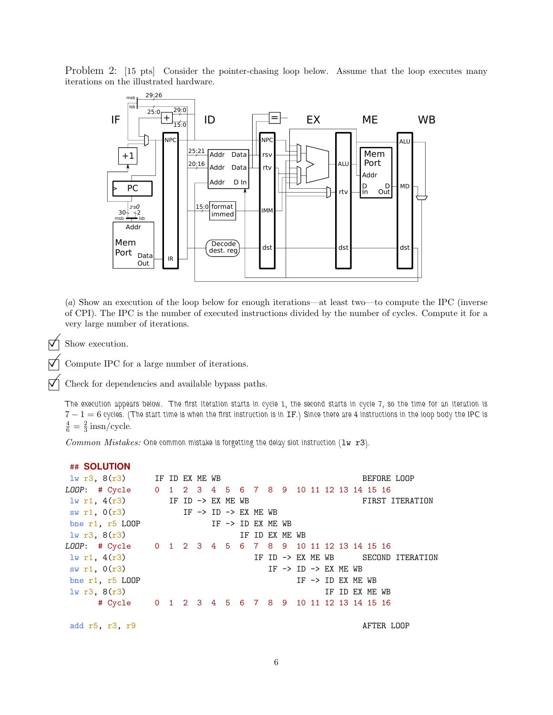Problem 2: [15 pts] Consider the pointer-chasing loop below. Assume that the loop executes many iterations on the illustrated hardware.



(a) Show an execution of the loop below for enough iterations—at least two—to compute the IPC (inverse of CPI). The IPC is the number of executed instructions divided by the number of cycles. Compute it for a very large number of iterations.

 $\nabla$  Show execution.

Compute IPC for a large number of iterations.

Check for dependencies and available bypass paths.

The execution appears below. The first iteration starts in cycle 1, the second starts in cycle 7, so the time for an iteration is  $7-1=6$  cycles. (The start time is when the first instruction is in IF.) Since there are 4 instructions in the loop body the IPC is  $\frac{4}{6} = \frac{2}{3}$  insn/cycle.

Common Mistakes: One common mistake is forgetting the delay slot instruction  $(1w r3)$ .

| ## SOLUTION                                            |  |  |                              |  |                                            |  |  |                                    |  |
|--------------------------------------------------------|--|--|------------------------------|--|--------------------------------------------|--|--|------------------------------------|--|
| $\frac{1}{2}$ if ID EX ME WB                           |  |  |                              |  |                                            |  |  | BEFORE LOOP                        |  |
| LOOP: # Cycle 0 1 2 3 4 5 6 7 8 9 10 11 12 13 14 15 16 |  |  |                              |  |                                            |  |  |                                    |  |
| $1w$ r1, $4(r3)$ IF ID -> EX ME WB                     |  |  |                              |  |                                            |  |  | FIRST ITERATION                    |  |
| sw r1, $0(r3)$ IF -> ID -> EX ME WB                    |  |  |                              |  |                                            |  |  |                                    |  |
| bne $r1$ , $r5$ LOOP                                   |  |  | IF $\rightarrow$ ID EX ME WB |  |                                            |  |  |                                    |  |
| 1w r3, 8(r3)                                           |  |  |                              |  | IF ID EX ME WB                             |  |  |                                    |  |
| LOOP: # Cycle 0 1 2 3 4 5 6 7 8 9 10 11 12 13 14 15 16 |  |  |                              |  |                                            |  |  |                                    |  |
| $1w$ r1, $4(r3)$                                       |  |  |                              |  |                                            |  |  | IF ID -> EX ME WB SECOND ITERATION |  |
| sw r1, 0(r3)                                           |  |  |                              |  | IF $\rightarrow$ ID $\rightarrow$ EX ME WB |  |  |                                    |  |
| bne $r1$ , $r5$ LOOP                                   |  |  |                              |  |                                            |  |  | IF $\rightarrow$ ID EX ME WB       |  |
| 1w r3, 8(r3)                                           |  |  |                              |  |                                            |  |  | IF ID EX ME WB                     |  |
| # Cycle 0 1 2 3 4 5 6 7 8 9 10 11 12 13 14 15 16       |  |  |                              |  |                                            |  |  |                                    |  |
|                                                        |  |  |                              |  |                                            |  |  |                                    |  |

add r5, r3, r9 AFTER LOOP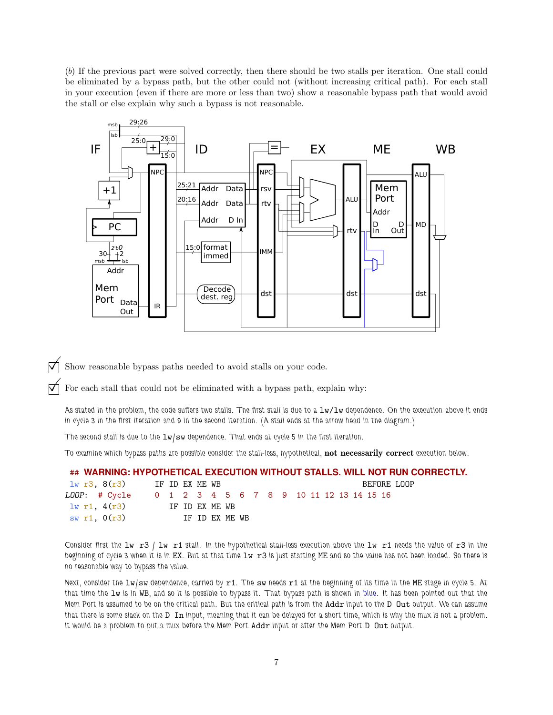(b) If the previous part were solved correctly, then there should be two stalls per iteration. One stall could be eliminated by a bypass path, but the other could not (without increasing critical path). For each stall in your execution (even if there are more or less than two) show a reasonable bypass path that would avoid the stall or else explain why such a bypass is not reasonable.



Show reasonable bypass paths needed to avoid stalls on your code.

For each stall that could not be eliminated with a bypass path, explain why:

As stated in the problem, the code suffers two stalls. The first stall is due to a  $1w/1w$  dependence. On the execution above it ends in cycle 3 in the first iteration and 9 in the second iteration. (A stall ends at the arrow head in the diagram.)

The second stall is due to the  $1w/sw$  dependence. That ends at cycle 5 in the first iteration.

To examine which bypass paths are possible consider the stall-less, hypothetical, not necessarily correct execution below.

#### ## **WARNING: HYPOTHETICAL EXECUTION WITHOUT STALLS. WILL NOT RUN CORRECTLY.**

| lw r3, 8(r3)                                           | IF ID EX ME WB |  |                |  |  |  |  |  | BEFORE LOOP |
|--------------------------------------------------------|----------------|--|----------------|--|--|--|--|--|-------------|
| LOOP: # Cycle 0 1 2 3 4 5 6 7 8 9 10 11 12 13 14 15 16 |                |  |                |  |  |  |  |  |             |
| 1w r1, 4(r3)                                           |                |  | IF ID EX ME WB |  |  |  |  |  |             |
| swr1, 0(r3)                                            |                |  | IF ID EX ME WB |  |  |  |  |  |             |

Consider first the lw r3 / lw r1 stall. In the hypothetical stall-less execution above the lw r1 needs the value of r3 in the beginning of cycle 3 when it is in EX. But at that time  $1w$  r3 is just starting ME and so the value has not been loaded. So there is no reasonable way to bypass the value.

Next, consider the lw/sw dependence, carried by r1. The sw needs r1 at the beginning of its time in the ME stage in cycle 5. At that time the lw is in WB, and so it is possible to bypass it. That bypass path is shown in blue. It has been pointed out that the Mem Port is assumed to be on the critical path. But the critical path is from the Addr input to the D Out output. We can assume that there is some slack on the D In input, meaning that it can be delayed for a short time, which is why the mux is not a problem. It would be a problem to put a mux before the Mem Port Addr input or after the Mem Port D Out output.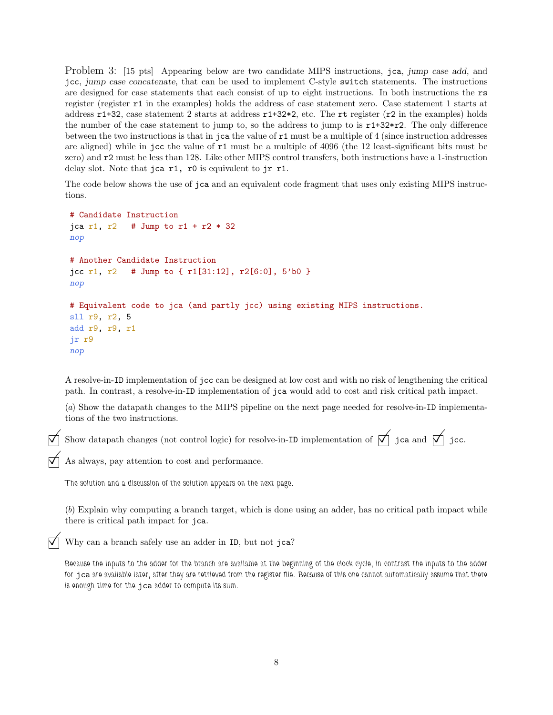Problem 3: [15 pts] Appearing below are two candidate MIPS instructions, jca, jump case add, and jcc, jump case concatenate, that can be used to implement C-style switch statements. The instructions are designed for case statements that each consist of up to eight instructions. In both instructions the rs register (register r1 in the examples) holds the address of case statement zero. Case statement 1 starts at address r1+32, case statement 2 starts at address r1+32\*2, etc. The rt register (r2 in the examples) holds the number of the case statement to jump to, so the address to jump to is  $r1+32*r2$ . The only difference between the two instructions is that in jca the value of  $r1$  must be a multiple of 4 (since instruction addresses are aligned) while in jcc the value of r1 must be a multiple of 4096 (the 12 least-significant bits must be zero) and r2 must be less than 128. Like other MIPS control transfers, both instructions have a 1-instruction delay slot. Note that jca r1, r0 is equivalent to jr r1.

The code below shows the use of jca and an equivalent code fragment that uses only existing MIPS instructions.

```
# Candidate Instruction
jca r1, r2 # Jump to r1 + r2 * 32
nop
# Another Candidate Instruction
jcc r1, r2 # Jump to { r1[31:12], r2[6:0], 5'b0 }
nop
# Equivalent code to jca (and partly jcc) using existing MIPS instructions.
sll r9, r2, 5
add r9, r9, r1
jr r9
nop
```
A resolve-in-ID implementation of jcc can be designed at low cost and with no risk of lengthening the critical path. In contrast, a resolve-in-ID implementation of jca would add to cost and risk critical path impact.

(a) Show the datapath changes to the MIPS pipeline on the next page needed for resolve-in-ID implementations of the two instructions.

Show datapath changes (not control logic) for resolve-in-ID implementation of  $\bigtriangledown$  jca and  $\bigtriangledown$  jcc.

As always, pay attention to cost and performance.

The solution and a discussion of the solution appears on the next page.

(b) Explain why computing a branch target, which is done using an adder, has no critical path impact while there is critical path impact for jca.

Why can a branch safely use an adder in ID, but not jca?

Because the inputs to the adder for the branch are available at the beginning of the clock cycle, in contrast the inputs to the adder for jca are available later, after they are retrieved from the register file. Because of this one cannot automatically assume that there is enough time for the jca adder to compute its sum.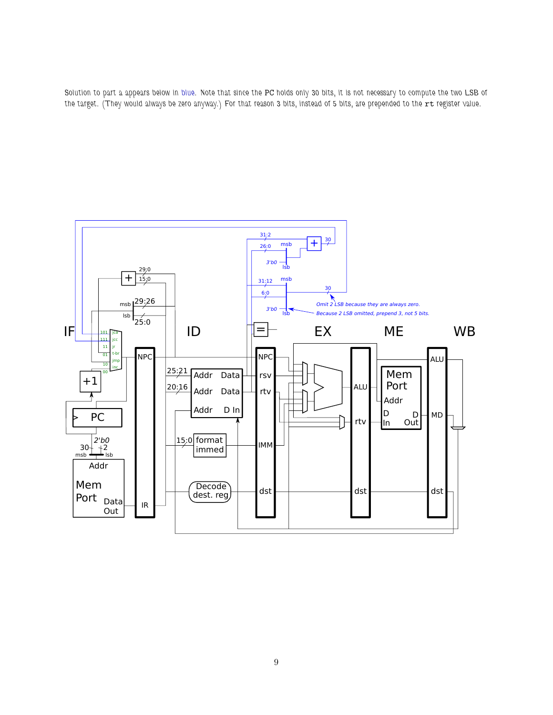

Solution to part a appears below in blue. Note that since the PC holds only 30 bits, it is not necessary to compute the two LSB of the target. (They would always be zero anyway.) For that reason 3 bits, instead of 5 bits, are prepended to the rt register value.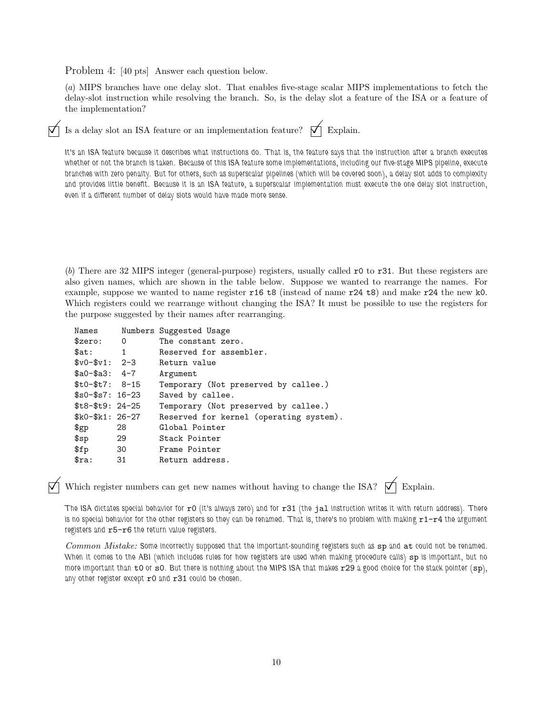Problem 4: [40 pts] Answer each question below.

(a) MIPS branches have one delay slot. That enables five-stage scalar MIPS implementations to fetch the delay-slot instruction while resolving the branch. So, is the delay slot a feature of the ISA or a feature of the implementation?

Is a delay slot an ISA feature or an implementation feature?  $\forall$  Explain.

It's an ISA feature because it describes what instructions do. That is, the feature says that the instruction after a branch executes whether or not the branch is taken. Because of this ISA feature some implementations, including our five-stage MIPS pipeline, execute branches with zero penalty. But for others, such as superscalar pipelines (which will be covered soon), a delay slot adds to complexity and provides little benefit. Because it is an ISA feature, a superscalar implementation must execute the one delay slot instruction, even if a different number of delay slots would have made more sense.

(b) There are 32 MIPS integer (general-purpose) registers, usually called r0 to r31. But these registers are also given names, which are shown in the table below. Suppose we wanted to rearrange the names. For example, suppose we wanted to name register r16 t8 (instead of name r24 t8) and make r24 the new k0. Which registers could we rearrange without changing the ISA? It must be possible to use the registers for the purpose suggested by their names after rearranging.

| Names                            |              | Numbers Suggested Usage                 |
|----------------------------------|--------------|-----------------------------------------|
| $s_{zero}$ :                     | 0            | The constant zero.                      |
| $\texttt{Sat:}$                  | $\mathbf{1}$ | Reserved for assembler.                 |
| $\text{$}v0 - \text{$}v1: 2 - 3$ |              | Return value                            |
| $\$a0-\$a3: 4-7$                 |              | Argument                                |
| $$t0-$t7: 8-15$                  |              | Temporary (Not preserved by callee.)    |
| $$s0-\$s7:16-23$                 |              | Saved by callee.                        |
| $$t8-\$t9: 24-25$                |              | Temporary (Not preserved by callee.)    |
| $k0 - k1: 26 - 27$               |              | Reserved for kernel (operating system). |
| $\mathfrak{g}_{\mathrm{gp}}$     | 28           | Global Pointer                          |
| \$sp                             | 29           | Stack Pointer                           |
| \$fp\$                           | 30           | Frame Pointer                           |
| $s_{ra}$ :                       | 31           | Return address.                         |

Which register numbers can get new names without having to change the ISA?  $\bigtriangledown$  Explain.

The ISA dictates special behavior for  $r0$  (it's always zero) and for  $r31$  (the jal instruction writes it with return address). There is no special behavior for the other registers so they can be renamed. That is, there's no problem with making  $r1-r4$  the argument registers and r5-r6 the return value registers.

Common Mistake: Some incorrectly supposed that the important-sounding registers such as sp and at could not be renamed. When it comes to the ABI (which includes rules for how registers are used when making procedure calls) sp is important, but no more important than  $\pm 0$  or  $\pm 0$ . But there is nothing about the MIPS ISA that makes  $\pm 29$  a good choice for the stack pointer ( $\pm p$ ), any other register except r0 and r31 could be chosen.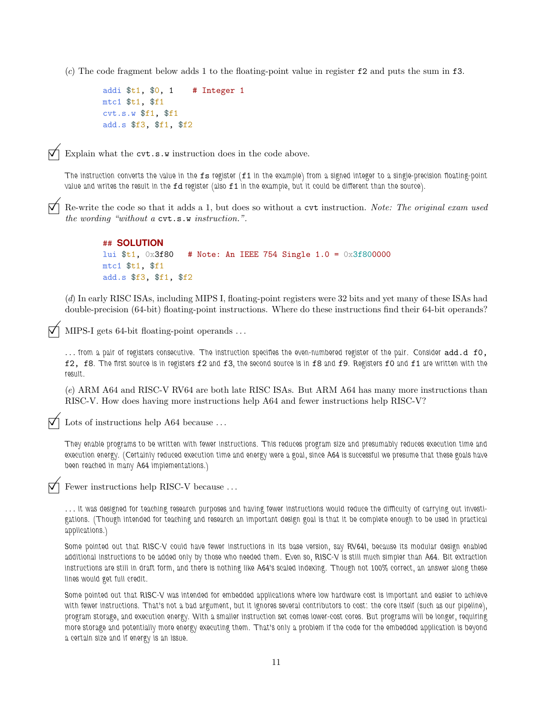(c) The code fragment below adds 1 to the floating-point value in register  $f_2$  and puts the sum in  $f_3$ .

```
addi t_1, 0, 1 # Integer 1
mtc1 $t1, $f1
cvt.s.w $f1, $f1
add.s $f3, $f1, $f2
```


Explain what the cvt.s.w instruction does in the code above.

The instruction converts the value in the  $fs$  register  $(f1$  in the example) from a signed integer to a single-precision floating-point value and writes the result in the fd register (also f1 in the example, but it could be different than the source).

 Re-write the code so that it adds a 1, but does so without a cvt instruction. Note: The original exam used the wording "without a cvt.s.w instruction.".

```
## SOLUTION
lui $t1, 0x3f80 # Note: An IEEE 754 Single 1.0 = 0x3f800000
mtc1 $t1, $f1
add.s $f3, $f1, $f2
```
(d) In early RISC ISAs, including MIPS I, floating-point registers were 32 bits and yet many of these ISAs had double-precision (64-bit) floating-point instructions. Where do these instructions find their 64-bit operands?

MIPS-I gets 64-bit floating-point operands ...

... from a pair of registers consecutive. The instruction specifies the even-numbered register of the pair. Consider add.d f0, f2, f8. The first source is in registers f2 and f3, the second source is in f8 and f9. Registers f0 and f1 are written with the result.

(e) ARM A64 and RISC-V RV64 are both late RISC ISAs. But ARM A64 has many more instructions than RISC-V. How does having more instructions help A64 and fewer instructions help RISC-V?

Lots of instructions help A64 because ...

They enable programs to be written with fewer instructions. This reduces program size and presumably reduces execution time and execution energy. (Certainly reduced execution time and energy were a goal, since A64 is successful we presume that these goals have been reached in many A64 implementations.)

Fewer instructions help RISC-V because . . .

. . . it was designed for teaching research purposes and having fewer instructions would reduce the difficulty of carrying out investigations. (Though intended for teaching and research an important design goal is that it be complete enough to be used in practical applications.)

Some pointed out that RISC-V could have fewer instructions in its base version, say RV64I, because its modular design enabled additional instructions to be added only by those who needed them. Even so, RISC-V is still much simpler than A64. Bit extraction instructions are still in draft form, and there is nothing like A64's scaled indexing. Though not 100% correct, an answer along these lines would get full credit.

Some pointed out that RISC-V was intended for embedded applications where low hardware cost is important and easier to achieve with fewer instructions. That's not a bad argument, but it ignores several contributors to cost: the core itself (such as our pipeline), program storage, and execution energy. With a smaller instruction set comes lower-cost cores. But programs will be longer, requiring more storage and potentially more energy executing them. That's only a problem if the code for the embedded application is beyond a certain size and if energy is an issue.